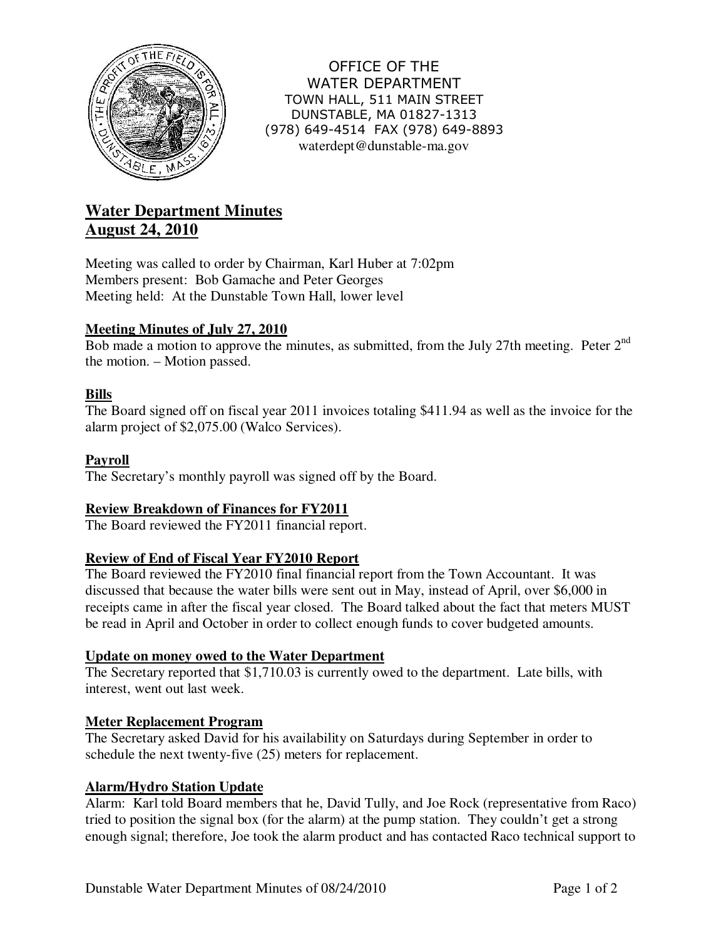

OFFICE OF THE WATER DEPARTMENT TOWN HALL, 511 MAIN STREET DUNSTABLE, MA 01827-1313 (978) 649-4514 FAX (978) 649-8893 waterdept@dunstable-ma.gov

# **Water Department Minutes August 24, 2010**

Meeting was called to order by Chairman, Karl Huber at 7:02pm Members present: Bob Gamache and Peter Georges Meeting held: At the Dunstable Town Hall, lower level

# **Meeting Minutes of July 27, 2010**

Bob made a motion to approve the minutes, as submitted, from the July 27th meeting. Peter 2<sup>nd</sup> the motion. – Motion passed.

## **Bills**

The Board signed off on fiscal year 2011 invoices totaling \$411.94 as well as the invoice for the alarm project of \$2,075.00 (Walco Services).

## **Payroll**

The Secretary's monthly payroll was signed off by the Board.

## **Review Breakdown of Finances for FY2011**

The Board reviewed the FY2011 financial report.

#### **Review of End of Fiscal Year FY2010 Report**

The Board reviewed the FY2010 final financial report from the Town Accountant. It was discussed that because the water bills were sent out in May, instead of April, over \$6,000 in receipts came in after the fiscal year closed. The Board talked about the fact that meters MUST be read in April and October in order to collect enough funds to cover budgeted amounts.

#### **Update on money owed to the Water Department**

The Secretary reported that \$1,710.03 is currently owed to the department. Late bills, with interest, went out last week.

#### **Meter Replacement Program**

The Secretary asked David for his availability on Saturdays during September in order to schedule the next twenty-five (25) meters for replacement.

#### **Alarm/Hydro Station Update**

Alarm: Karl told Board members that he, David Tully, and Joe Rock (representative from Raco) tried to position the signal box (for the alarm) at the pump station. They couldn't get a strong enough signal; therefore, Joe took the alarm product and has contacted Raco technical support to